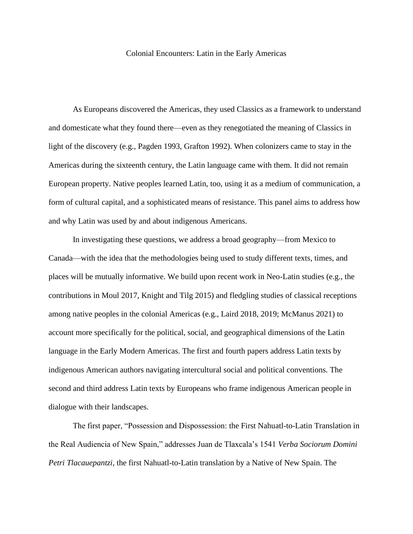## Colonial Encounters: Latin in the Early Americas

As Europeans discovered the Americas, they used Classics as a framework to understand and domesticate what they found there—even as they renegotiated the meaning of Classics in light of the discovery (e.g., Pagden 1993, Grafton 1992). When colonizers came to stay in the Americas during the sixteenth century, the Latin language came with them. It did not remain European property. Native peoples learned Latin, too, using it as a medium of communication, a form of cultural capital, and a sophisticated means of resistance. This panel aims to address how and why Latin was used by and about indigenous Americans.

In investigating these questions, we address a broad geography—from Mexico to Canada—with the idea that the methodologies being used to study different texts, times, and places will be mutually informative. We build upon recent work in Neo-Latin studies (e.g., the contributions in Moul 2017, Knight and Tilg 2015) and fledgling studies of classical receptions among native peoples in the colonial Americas (e.g., Laird 2018, 2019; McManus 2021) to account more specifically for the political, social, and geographical dimensions of the Latin language in the Early Modern Americas. The first and fourth papers address Latin texts by indigenous American authors navigating intercultural social and political conventions. The second and third address Latin texts by Europeans who frame indigenous American people in dialogue with their landscapes.

The first paper, "Possession and Dispossession: the First Nahuatl-to-Latin Translation in the Real Audiencia of New Spain," addresses Juan de Tlaxcala's 1541 *Verba Sociorum Domini Petri Tlacauepantzi*, the first Nahuatl-to-Latin translation by a Native of New Spain. The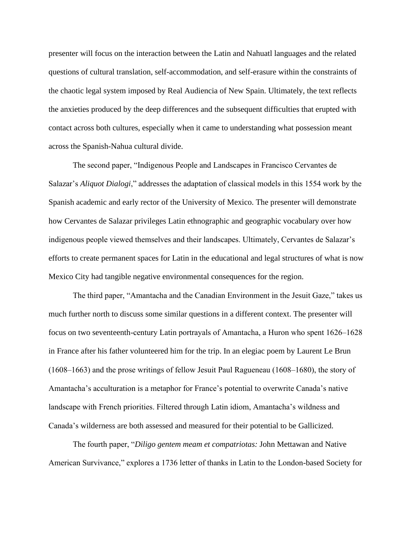presenter will focus on the interaction between the Latin and Nahuatl languages and the related questions of cultural translation, self-accommodation, and self-erasure within the constraints of the chaotic legal system imposed by Real Audiencia of New Spain. Ultimately, the text reflects the anxieties produced by the deep differences and the subsequent difficulties that erupted with contact across both cultures, especially when it came to understanding what possession meant across the Spanish-Nahua cultural divide.

The second paper, "Indigenous People and Landscapes in Francisco Cervantes de Salazar's *Aliquot Dialogi*," addresses the adaptation of classical models in this 1554 work by the Spanish academic and early rector of the University of Mexico. The presenter will demonstrate how Cervantes de Salazar privileges Latin ethnographic and geographic vocabulary over how indigenous people viewed themselves and their landscapes. Ultimately, Cervantes de Salazar's efforts to create permanent spaces for Latin in the educational and legal structures of what is now Mexico City had tangible negative environmental consequences for the region.

The third paper, "Amantacha and the Canadian Environment in the Jesuit Gaze," takes us much further north to discuss some similar questions in a different context. The presenter will focus on two seventeenth-century Latin portrayals of Amantacha, a Huron who spent  $1626-1628$ in France after his father volunteered him for the trip. In an elegiac poem by Laurent Le Brun  $(1608–1663)$  and the prose writings of fellow Jesuit Paul Ragueneau  $(1608–1680)$ , the story of Amantacha's acculturation is a metaphor for France's potential to overwrite Canada's native landscape with French priorities. Filtered through Latin idiom, Amantacha's wildness and Canada's wilderness are both assessed and measured for their potential to be Gallicized.

The fourth paper, "*Diligo gentem meam et compatriotas:* John Mettawan and Native American Survivance," explores a 1736 letter of thanks in Latin to the London-based Society for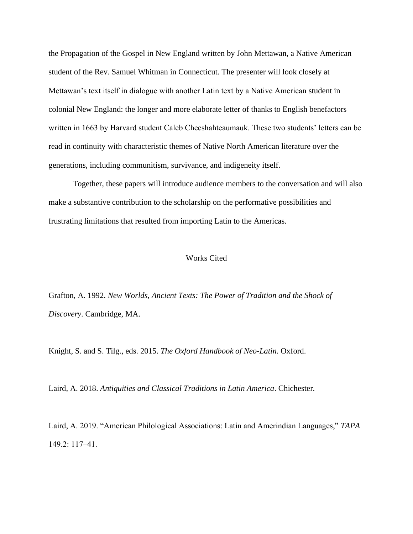the Propagation of the Gospel in New England written by John Mettawan, a Native American student of the Rev. Samuel Whitman in Connecticut. The presenter will look closely at Mettawan's text itself in dialogue with another Latin text by a Native American student in colonial New England: the longer and more elaborate letter of thanks to English benefactors written in 1663 by Harvard student Caleb Cheeshahteaumauk. These two students' letters can be read in continuity with characteristic themes of Native North American literature over the generations, including communitism, survivance, and indigeneity itself.

Together, these papers will introduce audience members to the conversation and will also make a substantive contribution to the scholarship on the performative possibilities and frustrating limitations that resulted from importing Latin to the Americas.

## Works Cited

Grafton, A. 1992. *New Worlds, Ancient Texts: The Power of Tradition and the Shock of Discovery*. Cambridge, MA.

Knight, S. and S. Tilg., eds. 2015. *The Oxford Handbook of Neo-Latin.* Oxford.

Laird, A. 2018. *Antiquities and Classical Traditions in Latin America*. Chichester.

Laird, A. 2019. "American Philological Associations: Latin and Amerindian Languages," *TAPA* 149.2: 117‒41.